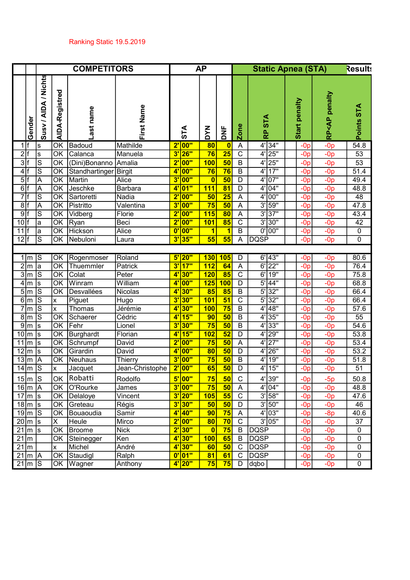|                    |                                   |                      | <b>COMPETITORS</b>                  |                  |                 |                         |                    | <b>AP</b>                |                          |                              |                        |  | <b>Static Apnea (STA)</b> |                                |                         |
|--------------------|-----------------------------------|----------------------|-------------------------------------|------------------|-----------------|-------------------------|--------------------|--------------------------|--------------------------|------------------------------|------------------------|--|---------------------------|--------------------------------|-------------------------|
|                    | Gender                            | Susy / AIDA / Nichts | AIDA-Registred                      | -ast name        | First Name      |                         | STA                | <b>MAQ</b>               | yc                       | <b>Zone</b>                  | <b>RP STA</b>          |  | Start penalty             | <ap penalty<br="">م<br/>ه</ap> | STA<br>Points           |
| 1 If               |                                   | $\mathbf{s}$         | OK                                  | Badoud           | Mathilde        |                         | 2' 00"             | 80                       | $\mathbf{0}$             | A                            | 4'34"                  |  | $-0p$                     | $-0p$                          | 54.8                    |
| 2 f                |                                   | s                    | OK                                  | Calanca          | Manuela         |                         | $3'$ 26"           | 76                       | $\overline{25}$          | $\mathsf C$                  | $4'$   25"             |  | $-0p$                     | $-0p$                          | $\overline{53}$         |
| 3 f                |                                   | $\mathbf S$          | OK                                  | (Dini)Bonanno    | Amalia          |                         | 2' 00"             | <b>100</b>               | $\overline{50}$          | $\sf B$                      | 25"<br>4'              |  | $-0p$                     | $-0p$                          | 53                      |
| 4 f                |                                   | $\mathsf{S}% _{T}$   | OK                                  | Standhartinger   | <b>Birgit</b>   | $4^{\prime}$            | $\overline{00"}$   | 76                       | 76                       | $\overline{B}$               | 17"<br>$\overline{4'}$ |  | $-0p$                     | $-0p$                          | 51.4                    |
| 5 f                |                                   | A                    | OK                                  | Martin           | Alice           | <mark>3'</mark>         | <b>00"</b>         | $\overline{\mathbf{0}}$  | 50                       | D                            | $4'$ 07"               |  | $-0p$                     | $-0p$                          | 49.4                    |
| 6                  |                                   | $\overline{A}$       | $\overline{\overline{\mathsf{OK}}}$ | Jeschke          | <b>Barbara</b>  | $\ddot{\textbf{a}}$     | 01"                | 111                      | $\overline{81}$          | $\overline{D}$               | $4'$ 04"               |  | $-0p$                     | $-0p$                          | 48.8                    |
| 7                  |                                   | $\overline{s}$       | $\overline{\overline{\mathsf{OK}}}$ | Sartoretti       | Nadia           |                         | $2'$ 00"           | 50                       | $\overline{25}$          | A                            | $4'$ 00"               |  | $-0p$                     | $-0p$                          | 48                      |
| 8                  |                                   | $\overline{A}$       | $\overline{\mathsf{OK}}$            | Pistritto        | Valentina       | 3'                      | 00"                | 75                       | 50                       | A                            | $3'$ 59"               |  | $-Op$                     | $-0p$                          | 47.8                    |
| 9                  |                                   | $\overline{S}$       | $\overline{\text{OK}}$              | Vidberg          | Florie          | $\overline{2}$ '        | 00"                | 115                      | $\overline{\bf 80}$      | A                            | 3'37"                  |  | $-0p$                     | $-0p$                          | 43.4                    |
| $10$ f             |                                   | a                    | $\overline{\overline{\text{OK}}}$   | Ryan             | Beci            |                         | $2'$ 00"           | 101                      | $\overline{\textbf{85}}$ | $\overline{C}$               | 3'30"                  |  | $-Op$                     | $-0p$                          | 42                      |
| 11 f               |                                   | a                    | $\overline{\overline{\mathsf{OK}}}$ | Hickson          | Alice           |                         | $0'$ 00"           | $\overline{\mathbf{1}}$  | $\overline{\mathbf{1}}$  | $\overline{B}$               | $0'$ 00"               |  | $-0p$                     | $-0p$                          | 0                       |
| $12$ f             |                                   | $\overline{s}$       | $\overline{OK}$                     | Nebuloni         | Laura           |                         | $3'$ 35"           | 55                       | 55                       | A                            | DQSP                   |  | $-0p$                     | $-0p$                          | 0                       |
|                    |                                   |                      |                                     |                  |                 |                         |                    |                          |                          |                              |                        |  |                           |                                |                         |
|                    | $1 \mid m$                        | IS                   | <u>lok</u>                          | Rogenmoser       | Roland          |                         | 5'20"              | 130                      | 105                      | $\overline{D}$               | $6'$ 43"               |  | $-0p$                     | $-0p$                          | 80.6                    |
|                    | $2\overline{m}$                   | a                    | OK                                  | Thuemmler        | Patrick         |                         | $3'$ 17"           | 112                      | 64                       | $\overline{\mathsf{A}}$      | $6'$ 22"               |  | $-0p$                     | $-0p$                          | 76.4                    |
|                    | $3\overline{\text{m}}$            | $\mathsf{S}% _{T}$   | OK                                  | Colat            | Peter           |                         | 4'30"              | 120                      | 85                       | $\mathsf C$                  | $6'$ 19"               |  | $-0p$                     | $-0p$                          | 75.8                    |
|                    | $4 \mid m$                        | <sub>S</sub>         | <b>OK</b>                           | Winram           | William         | 4'                      | <b>00"</b>         | 125                      | 100                      | D                            | $5'$ 44"               |  | $-0p$                     | $-0p$                          | 68.8                    |
|                    | $5\rm{m}$                         | ls                   | OK                                  | Desvallées       | Nicolas         | 4'                      | 30"                | 85                       | 85                       | B                            | $5'$ 32"               |  | $-0p$                     | $-0p$                          | 66.4                    |
|                    | $6\overline{\text{m}}$            | ls                   | x                                   | Piguet           | Hugo            | $\overline{\mathbf{3}}$ | <b>30"</b>         | 101                      | 51                       | $\overline{C}$               | $5'$ 32"               |  | $-0p$                     | $-0p$                          | 66.4                    |
|                    | $7 \mid m \mid$                   | ls                   | ΙX                                  | Thomas           | Jérémie         | 4'                      | <b>30"</b>         | <b>100</b>               | 75                       | $\sf B$                      | $4'$ 48"               |  | $-0p$                     | $-0p$                          | 57.6                    |
|                    | $\overline{8}$  m                 | ls                   | $\overline{\text{OK}}$              | Schaerer         | Cédric          | 4'                      | 15"                | 90                       | 50                       | $\sf B$                      | $4'$ 35"               |  | $-Op$                     | $-0p$                          | $\overline{55}$         |
|                    | $\overline{9}$  m                 | ls.                  | $\overline{\overline{\mathsf{OK}}}$ | Fehr             | Lionel          | 3'                      | 30"                | 75                       | 50                       | $\sf B$                      | $4'$ 33"               |  | $-0p$                     | $-0p$                          | 54.6                    |
|                    | $10 \mid m \mid s$                |                      | $\overline{\text{OK}}$              | <b>Burghardt</b> | Florian         |                         | 4' 15"             | 102                      | $\overline{52}$          | $\mathsf D$                  | $4'$ 29"               |  | $-0p$                     | $-0p$                          | 53.8                    |
| $\overline{1}1$  m |                                   | ls.                  | $\overline{\overline{\mathsf{OK}}}$ | Schrumpf         | David           |                         | $2'$ 00"           | 75                       | 50                       | A                            | $4'$ 27"               |  | $-0p$                     | $-0p$                          | 53.4                    |
|                    | $12 \mid m$                       | ls.                  | $\overline{\overline{\mathsf{OK}}}$ | Girardin         | David           |                         | 4' 00"             | $\overline{\textbf{80}}$ | 50                       | D                            | 4'<br>26"              |  | $-0p$                     | $-0p$                          | $\overline{53.2}$       |
|                    | $13 \mid m$<br>$14 \mid m \mid S$ | A                    | OK                                  | Neuhaus          | Thierry         |                         | $3'$ 00"<br>2' 00" | 75<br>65                 | 50<br>$\overline{50}$    | B<br>$\overline{\mathsf{D}}$ | 19"<br>4'<br>$4'$ 15"  |  | $-0p$<br>$-0p$            | $-0p$<br>$-0p$                 | 51.8<br>$\overline{51}$ |
|                    |                                   |                      | x                                   | Jacquet          | Jean-Christophe |                         |                    |                          |                          |                              |                        |  |                           |                                |                         |
|                    | $15 \mid m \mid S$                |                      | <b>OK</b>                           | Robatti          | Rodolfo         |                         | $5'$ 00"           | 75                       | 50                       | C                            | $4'$ 39"               |  | $-0p$                     | $-5p$                          | 50.8                    |
|                    | $16\overline{\mathrm{m}}$ A       |                      | $\overline{\overline{\mathsf{OK}}}$ | O'Rourke         | James           |                         | $3'$ 00"           | 75                       | 50                       | A                            | $4'$ 04"               |  | $-0p$                     | $-0p$                          | 48.8                    |
|                    | $\overline{17}$ m s               |                      | $\overline{\overline{\mathsf{OK}}}$ | Delaloye         | Vincent         |                         | $3'$ 20"           | 105                      | 55                       | $\overline{C}$               | $3'$ 58"               |  | $-0p$                     | $-0p$                          | 47.6                    |
|                    | $18 \mid m \mid s$                |                      | $\overline{\overline{\text{OK}}}$   | Greteau          | Régis           |                         | $3'$ 30"           | 50                       | 50                       | $\overline{D}$               | 3'50"                  |  | $-Op$                     | $-0p$                          | 46                      |
|                    | $19\overline{\text{m/s}}$         |                      | OK                                  | Bouaoudia        | Samir           |                         | $4'$ 40"           | 90                       | 75                       | $\overline{A}$               | $4'$ 03"               |  | $-0p$                     | $-8p$                          | 40.6                    |
|                    | $20 \mid m \mid s$                |                      | IХ                                  | Heule            | Mirco           |                         | $2'$ 00"           | $\overline{\textbf{80}}$ | 70                       | $\overline{C}$               | $3'$ 05"               |  | $-0p$                     | $-0p$                          | $\overline{37}$         |
|                    | $21 \mid m \mid s$                |                      | <b>OK</b>                           | <b>Broome</b>    | <b>Nick</b>     |                         | $2'$ 30"           | $\mathbf{0}$             | 75                       | $\,$ B                       | <b>DQSP</b>            |  | $-0p$                     | $-0p$                          | 0                       |
| $21 \text{ m}$     |                                   |                      | $\overline{\overline{\mathsf{OK}}}$ | Steinegger       | Ken             |                         | 4'30"              | 100                      | 65                       | $\, {\sf B}$                 | <b>DQSP</b>            |  | $-0p$                     | $-0p$                          | $\overline{0}$          |
| $21 \text{ m}$     |                                   |                      | X                                   | Michel           | André           |                         | 4'30"              | 60                       | 50                       | $\overline{C}$               | <b>DQSP</b>            |  | $-0p$                     | $-0p$                          | 0                       |
|                    | $21 \mid m \mid A$                |                      | OK                                  | Staudigl         | Ralph           |                         | $0'$ 01"           | 81                       | 61                       | $\mathbf C$                  | <b>DQSP</b>            |  | $-Op$                     | $-0p$                          | 0                       |
|                    | $21 \mid m \mid S$                |                      |                                     | OK Wagner        | Anthony         |                         | $4'$ 20"           | 75                       | 75                       | $\mathsf D$                  | dqbo                   |  | $-Op$                     | $-0p$                          | 0                       |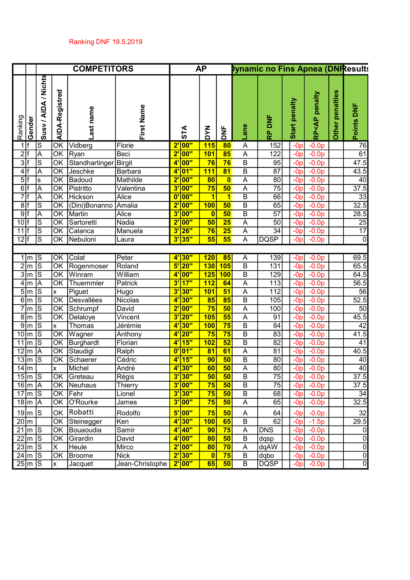|         |                               |                         |                        | <b>COMPETITORS</b>     |                 |                       |                   | <b>AP</b>               |                         |                         | <b>Pynamic no Fins Apnea (DNResults</b> |                |                                      |                 |                 |
|---------|-------------------------------|-------------------------|------------------------|------------------------|-----------------|-----------------------|-------------------|-------------------------|-------------------------|-------------------------|-----------------------------------------|----------------|--------------------------------------|-----------------|-----------------|
| Ranking | Gender                        | Susy / AIDA / Nichts    | AIDA-Registred         | name<br>Last           | First Name      |                       | <b>STA</b>        | <b>MAQ</b>              | $\overline{2}$          | Lane                    | <b>RP DNF</b>                           | Start penalty  | penalty<br><b>RP<ap< b=""></ap<></b> | Other penalties | Points DNF      |
|         | 1 If                          | S                       | OK                     | Vidberg                | Florie          |                       | 2' 00"            | <b>115</b>              | 80                      | А                       | 152                                     | $-0p$          | $-0.0p$                              |                 | 76              |
|         | 2 f                           | A                       | OK                     | Ryan                   | Beci            | $2^{\prime}$          | $\overline{00"}$  | <b>101</b>              | 85                      | A                       | 122                                     | $-Op$          | $-0.0p$                              |                 | 61              |
|         | 3 f                           | $\vert$ S               | OK                     | Standhartinger Birgit  |                 |                       | 4'00"             | 76                      | 76                      | $\sf B$                 | 95                                      | $-Op$          | $-0.0p$                              |                 | 47.5            |
|         | 4 f                           | A                       | OK                     | Jeschke                | Barbara         | 4'                    | $\overline{01"}$  | <b>111</b>              | $\overline{81}$         | $\overline{\mathsf{B}}$ | 87                                      | $-Op$          | $-0.0p$                              |                 | 43.5            |
|         | 5 f                           | ls.                     | $\overline{OK}$        | Badoud                 | Mathilde        | $2^{\prime}$          | <b>00"</b>        | 80                      | $\bullet$               | A                       | 80                                      | $-Op$          | $-0.0p$                              |                 | 40              |
|         | 6 f                           | A                       | $\overline{OK}$        | Pistritto              | Valentina       |                       | $3'$ 00"          | 75                      | 50                      | А                       | $\overline{75}$                         | $-Op$          | $-0.0p$                              |                 | 37.5            |
|         | 7 f                           | A                       | $\overline{\text{OK}}$ | <b>Hickson</b>         | Alice           | $\mathbf{0}$          | 00"               | $\overline{\mathbf{1}}$ | $\overline{\mathbf{1}}$ | $\overline{\mathsf{B}}$ | 66                                      | $-Op$          | $-0.0p$                              |                 | $\overline{33}$ |
|         | 8 f                           | ΙS                      | $\overline{\text{OK}}$ | (Dini)Bonanno          | Amalia          |                       | $2'$ 00"          | <b>100</b>              | 50                      | $\overline{\mathsf{B}}$ | 65                                      | $-Op$          | $-0.0p$                              |                 | 32.5            |
|         | $9$ f                         | $\overline{\mathsf{A}}$ | $\overline{OK}$        | Martin                 | Alice           | 3'                    | 00"               | $\overline{\mathbf{0}}$ | 50                      | $\overline{B}$          | $\overline{57}$                         | $-0p$          | $-0.0p$                              |                 | 28.5            |
| $10$ f  |                               | ΙS                      | $\overline{OK}$        | Sartoretti             | Nadia           |                       | $2'$ 00"          | 50                      | 25                      | $\overline{A}$          | 50                                      | $-0p$          | $-0.0p$                              |                 | $\overline{25}$ |
| 11 f    |                               | ΙO<br>S                 | $\overline{OK}$        | Calanca<br>OK Nebuloni | Manuela         | 3'<br>3'              | <b>26"</b><br>35" | 76<br>55                | 25<br>55                | A                       | $\overline{34}$<br><b>DQSP</b>          | $-0p$          | $-0.0p$                              |                 | $\overline{17}$ |
| 12 f    |                               |                         |                        |                        | Laura           |                       |                   |                         |                         | A                       |                                         | $-0p$          | $-0.0p$                              |                 | 0               |
|         |                               | ls                      |                        | OK Colat               | Peter           | $4^{\circ}$           | 30"               | 120                     | 85                      |                         | 139                                     |                | $-0.0p$                              |                 | 69.5            |
|         | $1 \mid m$<br>$2\overline{m}$ | S                       | OK                     | Rogenmoser             | Roland          | 5'                    | 20"               | <b>130</b>              | 105                     | Α<br>$\sf B$            | 131                                     | $-Op$<br>$-0p$ | $-0.0p$                              |                 | 65.5            |
|         | $3\overline{\text{m}}$        | ls                      | OK                     | Winram                 | William         | $4^{\circ}$           | $\overline{00"}$  | 125                     | 100                     | $\overline{B}$          | 129                                     | $-Op$          | $-0.0p$                              |                 | 64.5            |
|         | $4 \mid m$                    | A                       | OK                     | Thuemmler              | Patrick         | 3'                    | 17"               | 112                     | 64                      | A                       | 113                                     | $-Op$          | $-0.0p$                              |                 | 56.5            |
|         | $5\overline{m}$               | S                       | <b>X</b>               | Piguet                 | Hugo            | 3'                    | <b>30"</b>        | <b>101</b>              | 51                      | A                       | 112                                     | $-Op$          | $-0.0p$                              |                 | 56              |
|         | $6\overline{\text{m}}$        | S                       | $\overline{OK}$        | Desvallées             | Nicolas         | 4'                    | 30"               | 85                      | 85                      | B                       | 105                                     | $-Op$          | $-0.0p$                              |                 | 52.5            |
|         | $7\overline{\text{m}}$        | ΙS                      | OK                     | Schrumpf               | David           | $2^{\prime}$          | 00"               | 75                      | 50                      | A                       | 100                                     | $-Op$          | $-0.0p$                              |                 | 50              |
|         | $8 \mid m$                    | Τs                      | OK                     | Delaloye               | Vincent         | 3'                    | 20"               | 105                     | 55                      | A                       | 91                                      | $-Op$          | $-0.0p$                              |                 | 45.5            |
|         | $9\overline{\text{m}}$        | ß                       | X                      | Thomas                 | Jérémie         | $4^{\circ}$           | 30"               | <b>100</b>              | 75                      | $\overline{B}$          | $\overline{84}$                         | $-0p$          | $-0.0p$                              |                 | 42              |
|         | $10 \mid m$                   | Τs                      | $\overline{OK}$        | Wagner                 | Anthony         | 4'                    | 20"               | 75                      | 75                      | $\sf B$                 | $\overline{83}$                         | $-0p$          | $-0.0p$                              |                 | 41.5            |
|         | $11 \, \mathrm{m}$            | ls                      | OK                     | Burghardt              | Florian         | 4 <sup>1</sup>        | 15"               | 102                     | 52                      | B                       | 82                                      | $-0p$          | $-0.0p$                              |                 | 41              |
|         | $12 \mid m$                   | A                       | OK                     | Staudigl               | Ralph           | $\mathbf{0}^{\prime}$ | 01"               | 81                      | 61                      | A                       | 81                                      | $-Op$          | $-0.0p$                              |                 | 40.5            |
|         | $13 \mid m$                   | ls                      | OK                     | Schaerer               | Cédric          | 4'                    | 15"               | 90                      | 50                      | $\overline{B}$          | 80                                      | $-0p$          | $-0.0P$                              |                 | 40              |
|         | $14 \mid m$                   |                         | X                      | Michel                 | André           | 4 <sup>1</sup>        | 30"               | 60                      | 50                      | A                       | 80 <sup>1</sup>                         | $-0p$          | $-0.0p$                              |                 | $\overline{40}$ |
|         | $15\overline{\mathrm{m}}$ S   |                         | OK                     | Greteau                | Régis           |                       | $3'$ 30"          | 50                      | 50                      | В                       | 75                                      | $-Op$          | $-0.0p$                              |                 | 37.5            |
|         | $16 \mid m \mid A$            |                         | OK                     | Neuhaus                | Thierry         | $3^{\prime}$          | 00"               | 75                      | 50                      | $\overline{B}$          | 75                                      | $-Op$          | $-0.0p$                              |                 | 37.5            |
|         | $17 \mid m \mid S$            |                         | OK                     | Fehr                   | Lionel          | 3'                    | 30"               | 75                      | 50                      | $\overline{B}$          | 68                                      | $-0p$          | $-0.0p$                              |                 | $\overline{34}$ |
|         | $18 \mid m$                   | A                       | OK                     | O'Rourke               | James           |                       | $3'$ 00"          | 75                      | 50                      | A                       | 65                                      | $-Op$          | $-0.0p$                              |                 | 32.5            |
|         | $19 \mid m \mid S$            |                         | OK                     | Robatti                | Rodolfo         | 5'                    | 00"               | 75                      | 50                      | A                       | 64                                      | $-Op$          | $-0.0p$                              |                 | 32              |
|         | $20 \mid m$                   |                         | OK                     | Steinegger             | Ken             | $4^{\circ}$           | <b>30"</b>        | <b>100</b>              | 65                      | $\overline{\mathsf{B}}$ | 62                                      | $-Op$          | $-1.5p$                              |                 | 29.5            |
|         | $21 \mid m$                   | $\overline{\mathsf{s}}$ | OK                     | Bouaoudia              | Samir           |                       | $4'$ 40"          | 90                      | 75                      | A                       | <b>DNS</b>                              | $-Op$          | $-0.0p$                              |                 | 0               |
|         | $22 \mid m$                   | S                       | OK                     | Girardin               | David           | 4 <sup>1</sup>        | <b>00"</b>        | 80                      | 50                      | $\sf B$                 | dqsp                                    | $-Op$          | $-0.0p$                              |                 | 0               |
|         | $23 \mid m$                   | S                       | X                      | Heule                  | Mirco           | $2^{\prime}$          | 00"               | 80                      | 70                      | A                       | dqAW                                    | $-Op$          | $-0.0p$                              |                 | 0               |
|         | $24 \mid m$                   | S                       | OK                     | <b>Broome</b>          | <b>Nick</b>     | 2                     | <b>30"</b>        | $\mathbf{0}$            | 75                      | B                       | dqbo                                    | $-Op$          | $-0.0p$                              |                 | 0               |
|         | $25\overline{\text{m}}$ S     |                         | X                      | Jacquet                | Jean-Christophe |                       | 2' 00"            | 65                      | 50                      | B                       | <b>DQSP</b>                             | $-Op$          | $-0.0p$                              |                 | $\overline{0}$  |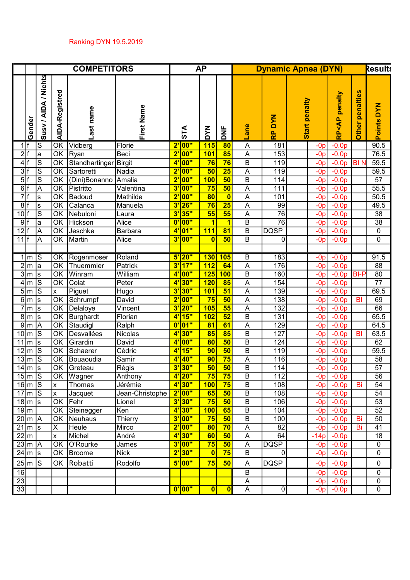|                 |                                   |                      |                | <b>COMPETITORS</b> |                     |              |                      | <b>AP</b>    |                                 |                           | <b>Dynamic Apnea (DYN)</b> |                      |                |                                             |                           | <b>Results</b>                     |
|-----------------|-----------------------------------|----------------------|----------------|--------------------|---------------------|--------------|----------------------|--------------|---------------------------------|---------------------------|----------------------------|----------------------|----------------|---------------------------------------------|---------------------------|------------------------------------|
|                 | Gender                            | Susy / AIDA / Nichts | AIDA-Registred | name<br>Last       | First Name          |              | STA                  | <b>MAD</b>   | y<br>To                         | Φ<br>an                   | <b>NAG</b><br>Δ.<br>œ      | <b>Start penalty</b> |                | <b>penalty</b><br><b>RP<ap< b=""></ap<></b> | penalties<br><b>Other</b> | <b>NXQ</b><br>Points               |
|                 | 1 f                               | ls                   | OK             | Vidberg            | Florie              |              | 2' 00"               | <b>115</b>   | 80                              | А                         | 181                        |                      | $-Op$          | $-0.0p$                                     |                           | 90.5                               |
|                 | 2 f                               | la                   | OK             | Ryan               | Beci                |              | 2' 00"               | <b>101</b>   | 85                              | А                         | 153                        |                      | $-Op$          | $-0.0p$                                     |                           | 76.5                               |
|                 | 4 f                               | S                    | OK             | Standhartinger     | <b>Birgit</b>       |              | $4'$ 00"             | 76           | 76                              | B                         | 119                        |                      | $-Op$          | $-0.0p$                                     | <b>BIN</b>                | 59.5                               |
|                 | 3 f                               | S                    | OK             | Sartoretti         | Nadia               |              | 2' 00''              | 50           | $\overline{25}$                 | A                         | 119                        |                      | $-Op$          | $-0.0p$                                     |                           | 59.5                               |
|                 | 5 f                               | S                    | OK             | (Dini)Bonanno      | Amalia              |              | 2' 00"               | <b>100</b>   | 50                              | B                         | 114                        |                      | $-0p$          | $-0.0p$                                     |                           | 57                                 |
|                 | 6 f<br>7 f                        | A                    | OK<br>OK       | Pistritto          | Valentina           |              | $3'$ 00"<br>$2'$ 00" | 75<br>80     | 50                              | А                         | 111                        |                      | $-Op$          | $-0.0p$                                     |                           | 55.5<br>50.5                       |
| 8 f             |                                   | ls                   | OK             | Badoud<br>Calanca  | Mathilde<br>Manuela |              | $3'$ 26"             | 76           | $\mathbf{0}$<br>$\overline{25}$ | Α<br>Α                    | 101<br>99                  |                      | $-Op$<br>$-Op$ | $-0.0p$<br>$-0.0p$                          |                           | 49.5                               |
| 10              |                                   | ls<br>lS             | OK             | Nebuloni           | Laura               | 3'           | <b>35"</b>           | 55           | 55                              | Α                         | 76                         |                      | $-0p$          | $-0.0p$                                     |                           | 38                                 |
| $9$ f           |                                   | la                   | OK             | <b>Hickson</b>     | Alice               |              | 0' 00"               | 1            | $\blacktriangleleft$            | $\overline{B}$            | $\overline{76}$            |                      | $-0p$          | $-0.0p$                                     |                           | $\overline{38}$                    |
| $12$ f          |                                   | A                    | OK             | Jeschke            | Barbara             |              | 4'01"                | 111          | 81                              | B                         | <b>DQSP</b>                |                      | $-Op$          | $-0.0p$                                     |                           | 0                                  |
| $11$ f          |                                   | A                    | OK             | Martin             | Alice               |              | 3' 00"               | $\mathbf{0}$ | 50                              | B                         | 0                          |                      | $-Op$          | $-0.0p$                                     |                           | $\mathbf 0$                        |
|                 |                                   |                      |                |                    |                     |              |                      |              |                                 |                           |                            |                      |                |                                             |                           |                                    |
|                 | $1 \, \mathrm{m}$                 | IS                   | <b>OK</b>      | Rogenmoser         | Roland              |              | $5'$  20"            | 130          | 105                             | B                         | 183                        |                      | $-0p$          | $-0.0p$                                     |                           | 91.5                               |
|                 | $2 \mid m$                        | la                   | OK             | Thuemmler          | Patrick             |              | $3'$ 17"             | 112          | 64                              | A                         | 176                        |                      | $-0p$          | $-0.0p$                                     |                           | 88                                 |
|                 | $3 \mid m$                        | Is                   | OK             | Winram             | William             |              | 4' 00"               | 125          | 100                             | B                         | 160                        |                      | $-0p$          | $-0.0p$                                     | <b>BI-P</b>               | 80                                 |
|                 | $4 \mid m$                        | ls                   | OK             | Colat              | Peter               |              | 4'30"                | 120          | 85                              | A                         | 154                        |                      | $-Op$          | $-0.0p$                                     |                           | $\overline{77}$                    |
|                 | $5\rm{m}$                         | ls                   | x              | Piguet             | Hugo                |              | 3' 30"               | <b>101</b>   | 51                              | А                         | 139                        |                      | $-Op$          | $-0.0p$                                     |                           | 69.5                               |
|                 | $6 \mid m$                        | ls                   | OK             | Schrumpf           | David               |              | 2' 00"               | 75           | 50                              | Α                         | 138                        |                      | $-Op$          | $-0.0p$                                     | B <sub>l</sub>            | 69                                 |
|                 | $7\overline{\mathrm{m}}$          | Is                   | OK             | Delaloye           | Vincent             |              | $3'$  20"            | 105          | 55                              | Α                         | 132                        |                      | $-Op$          | $-0.0p$                                     |                           | 66                                 |
|                 | $8 \mid m$                        | Is                   | OK             | <b>Burghardt</b>   | Florian             | $4^{\prime}$ | <b>15"</b>           | 102          | 52                              | B                         | 131                        |                      | $-Op$          | $-0.0p$                                     |                           | 65.5                               |
|                 | $9\rm{m}$                         | IА                   | OK             | Staudigl           | Ralph               |              | 0' 01"               | 81           | 61                              | Α                         | 129                        |                      | $-Op$          | $-0.0p$                                     |                           | 64.5                               |
|                 | $10 \mid m$                       | ls                   | OK             | Desvallées         | Nicolas             | 4'           | <b>30"</b>           | 85           | 85                              | B                         | 127                        |                      | $-0p$          | $-0.0p$                                     | BI                        | 63.5                               |
|                 | $11 \mid m$                       | Is                   | OK             | Girardin           | David               |              | 4' 00"               | 80           | 50                              | B                         | 124                        |                      | $-0p$          | $-0.0p$                                     |                           | 62                                 |
|                 | $12 \mid m$                       | $\overline{s}$       | OK             | Schaerer           | Cédric              | $4$ '        | <b>15"</b>           | 90           | 50                              | B                         | 119                        |                      | $-Op$          | $-0.0p$                                     |                           | 59.5                               |
|                 | $13 \mid m$                       | ls                   | OK             | Bouaoudia          | Samir               | 4'           | <b>40"</b>           | 90           | 75                              | Α                         | 116                        |                      | $-0p$          | $-0.0p$                                     |                           | 58                                 |
|                 | $14 \mid m$                       | s                    | OK             | Greteau            | Régis               |              | $3'$ 30"             | 50           | 50                              | B                         | 114                        |                      | $-0p$          | $-0.0p$                                     |                           | 57                                 |
|                 | 15 $ m S$                         |                      | OK             | <b>Wagner</b>      | Anthony             |              | $4'$ 20"             | 75           | 75                              | B                         | 112                        |                      | $-0p$          | $-0.0p$                                     |                           | 56                                 |
|                 | $16 \mid m \mid S$                |                      | <b>x</b>       | Thomas             | Jérémie             |              | 4'30"                | 100          | 75                              | $\overline{B}$            | 108                        |                      | $-Op$          | $-0.0p$                                     | Bi                        | 54                                 |
|                 | $17 \mid m \mid S$                |                      | <b>x</b>       | Jacquet            | Jean-Christophe     |              | $2'$ 00"             | 65           | 50                              | $\sf B$                   | 108                        |                      | $-0p$          | $-0.0p$                                     |                           | 54                                 |
|                 | $18 \mid m \mid s$<br>$19 \mid m$ |                      | OK<br> OK      | Fehr<br>Steinegger | Lionel<br> Ken      |              | $3'$ 30"<br>4'30"    | 75<br>100    | 50<br>65                        | $\overline{B}$<br>$\sf B$ | 106<br>104                 |                      | $-0p$          | $-0.0p$<br>$-0.0p$                          |                           | $\overline{53}$<br>$\overline{52}$ |
|                 | $20 \mid m \mid A$                |                      | OK             | Neuhaus            | <b>Thierry</b>      |              | $3'$ 00"             | 75           | 50                              | $\, {\bf B}$              | 100                        |                      | $-0p$<br>$-0p$ | $-0.0p$                                     | Bi                        | $\overline{50}$                    |
|                 | $21 \mid m \mid s$                |                      | X.             | Heule              | Mirco               |              | $2'$ 00"             | 80           | 70                              | A                         | $\overline{82}$            |                      | $-Op$          | $-0.0p$                                     | Bi                        | 41                                 |
|                 | $22 \mid m$                       |                      | x              | Michel             | André               |              | 4'30"                | 60           | 50                              | Α                         | 64                         |                      | $-14p$         | $-0.0p$                                     |                           | 18                                 |
|                 | $23 \mid m \mid A$                |                      | lок            | O'Rourke           | James               |              | $3'$ 00"             | 75           | 50                              | A                         | DQSP                       |                      | $-0p$          | $-0.0p$                                     |                           | 0                                  |
|                 | $24 \mid m \mid s$                |                      | OK             | <b>Broome</b>      | Nick                |              | $2'$ 30"             | 0            | 75                              | B                         | $\overline{0}$             |                      | $-0p$          | $-0.0p$                                     |                           | $\pmb{0}$                          |
|                 |                                   |                      | <b>OK</b>      | Robatti            | Rodolfo             |              | $5'$ 00"             | 75           | 50                              |                           | DQSP                       |                      | $-0p$          | $-0.0p$                                     |                           | $\pmb{0}$                          |
| 16              | $25 \mid m \mid S$                |                      |                |                    |                     |              |                      |              |                                 | A<br>B                    |                            |                      |                | $-0.0p$                                     |                           | $\mathbf 0$                        |
| 23              |                                   |                      |                |                    |                     |              |                      |              |                                 | Α                         |                            |                      | $-0p$<br>$-0p$ | $-0.0p$                                     |                           | $\pmb{0}$                          |
| $\overline{33}$ |                                   |                      |                |                    |                     |              | 0' 00"               | 0            | 0                               | A                         | 0                          |                      | $-0p$          | $-0.0p$                                     |                           | 0                                  |
|                 |                                   |                      |                |                    |                     |              |                      |              |                                 |                           |                            |                      |                |                                             |                           |                                    |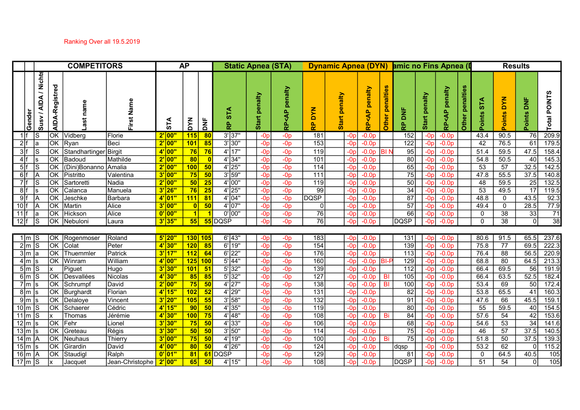## Ranking Over all 19.5.2019

| Nichts<br>AIDA-Registred<br>Other penalties<br>penalties<br>penalty<br>enalty<br>penalty<br>Total POINTS<br>penalty<br>Start penalty<br>penalty<br><b>AIDA</b><br>oints DYN<br>$\frac{1}{2}$<br>57A<br>Name<br>name<br>$\circ$<br><b>NAQ</b><br><b>STA</b><br>ž<br><ap<br><b>QP</b><br/>₹Р&lt;АР<br/>Gender<br/>Susv /<br/>Points<br/>oints<br/>Other<br/>Start<br/>Start<br/>First<br/><b>NAG</b><br/><b>STA</b><br/><b>AND</b><br/>RP<br/><math>\frac{\dot{\mathbf{p}}}{\mathbf{p}}</math><br/>운<br/>운<br/>ၕ<br/>209.9<br/><math>\overline{\text{OK}}</math><br/><math>3'</math> 37"<br/><math>\overline{76}</math><br/>115<br/>152<br/>43.4<br/>90.5<br/>1 f<br/>80<br/>181<br/><math>-0.0p</math><br/>Vidberg<br/>2' 00"<br/><math>-Op</math><br/><math>-0p</math><br/><math>-0.0p</math><br/>Florie<br/>-0p<br/>-Or<br/>61<br/>2 f<br/><b>OK</b><br/>101<br/>85<br/><math>3'</math> 30"<br/><math display="block">\overline{153}</math><br/>122<br/>42<br/>76.5<br/>179.5<br/>Ryan<br/>Beci<br/><math>2'</math> 00"<br/><math>-Op</math><br/><math>-0.0p</math><br/><math>-0p</math><br/><math>-0.0p</math><br/><math>-0D</math><br/>-0r<br/>la<br/>3 f<br/>47.5<br/><b>OK</b><br/>76<br/><math>4'</math> 17"<br/>59.5<br/>158.4<br/>Standhartinger Birgit<br/> 4 00"<br/>76<br/><math>-Op</math><br/>119<br/>95<br/>51.4<br/><math>-0p</math><br/><math>-0.0p</math><br/><math>-0.0p</math><br/>IBI N<br/>-0r<br/>-0n<br/>50.5<br/>145.3<br/>4 f<br/><math>4'</math> 34"<br/>80<br/>40<br/><b>OK</b><br/>Mathilde<br/> 2' 00"<br/>80<br/><math>-Op</math><br/><math>-0p</math><br/>101<br/>54.8<br/>Badoud<br/><math>-0.0p</math><br/><math>-0.0p</math><br/>-0¤<br/>-0p<br/>32.5<br/><math>\overline{57}</math><br/>5 f<br/>lок<br/><math>2'</math> 00"<br/><math>4'</math> 25"<br/>114<br/>65<br/>53<br/>142.5<br/>(Dini)Bonanno Amalia<br/>100<br/>50<br/><math>-Op</math><br/><math>-0p</math><br/><math>-0.0p</math><br/><math>-0.0p</math><br/><math>-0p</math><br/><math>-0p</math><br/><math>3'</math> 59"<br/>37.5<br/>6 f<br/><math>3'</math> 00"<br/>75<br/>75<br/>47.8<br/>55.5<br/><math>\overline{\text{OK}}</math><br/>50<br/><math>-Op</math><br/>111<br/>140.8<br/>Pistritto<br/>Valentina<br/><math>-0p</math><br/><math>-0.0p</math><br/><math>-0p</math><br/><math>-0.0p</math><br/><math>\overline{7}</math> f<br/>50<br/>59.5<br/>132.5<br/><math>\overline{\text{OK}}</math><br/><math>2'</math> 00"<br/>50<br/>25<br/><math>4'</math> 00"<br/>119<br/>48<br/>25<br/>lS<br/>Nadia<br/><math>-Op</math><br/><math>-0p</math><br/>Sartoretti<br/><math>-0.0p</math><br/><math>-0.0p</math><br/>-0p<br/><math>-0p</math><br/><math>\overline{17}</math><br/>8 f<br/><math>3'</math> 26"<br/>76<br/><math>\overline{25}</math><br/><math>4'</math> 25"<br/>34<br/>53<br/>119.5<br/><b>OK</b><br/>99<br/>49.5<br/>Manuela<br/><math>-0p</math><br/><math>-0p</math><br/> Calanca<br/><math>-0.0p</math><br/><math>-0.0p</math><br/>-0p<br/>-0p<br/>43.5<br/><math>9</math> f<br/>111<br/><math>4'</math> 04"<br/><b>OK</b><br/>Barbara<br/><math>4'</math> 01"<br/>81<br/><math>-Op</math><br/><b>DQSP</b><br/>87<br/>48.8<br/>92.3<br/>Jeschke<br/><math>-0p</math><br/><math>-0.0p</math><br/><math>\mathbf 0</math><br/>-0p<br/><math>-0.0p</math><br/>-0p</ap<br> |
|-----------------------------------------------------------------------------------------------------------------------------------------------------------------------------------------------------------------------------------------------------------------------------------------------------------------------------------------------------------------------------------------------------------------------------------------------------------------------------------------------------------------------------------------------------------------------------------------------------------------------------------------------------------------------------------------------------------------------------------------------------------------------------------------------------------------------------------------------------------------------------------------------------------------------------------------------------------------------------------------------------------------------------------------------------------------------------------------------------------------------------------------------------------------------------------------------------------------------------------------------------------------------------------------------------------------------------------------------------------------------------------------------------------------------------------------------------------------------------------------------------------------------------------------------------------------------------------------------------------------------------------------------------------------------------------------------------------------------------------------------------------------------------------------------------------------------------------------------------------------------------------------------------------------------------------------------------------------------------------------------------------------------------------------------------------------------------------------------------------------------------------------------------------------------------------------------------------------------------------------------------------------------------------------------------------------------------------------------------------------------------------------------------------------------------------------------------------------------------------------------------------------------------------------------------------------------------------------------------------------------------------------------------------------------------------------------------------------------------------------------------------------------------------------------------------------------------------------------------------------------------------------------------------------------------------------------------------------------------------------------------------------------------------------------------------------------------------------------------------------------------------------------------------------------------------------------------------------------------------------------------------------------------------------------|
|                                                                                                                                                                                                                                                                                                                                                                                                                                                                                                                                                                                                                                                                                                                                                                                                                                                                                                                                                                                                                                                                                                                                                                                                                                                                                                                                                                                                                                                                                                                                                                                                                                                                                                                                                                                                                                                                                                                                                                                                                                                                                                                                                                                                                                                                                                                                                                                                                                                                                                                                                                                                                                                                                                                                                                                                                                                                                                                                                                                                                                                                                                                                                                                                                                                                                               |
|                                                                                                                                                                                                                                                                                                                                                                                                                                                                                                                                                                                                                                                                                                                                                                                                                                                                                                                                                                                                                                                                                                                                                                                                                                                                                                                                                                                                                                                                                                                                                                                                                                                                                                                                                                                                                                                                                                                                                                                                                                                                                                                                                                                                                                                                                                                                                                                                                                                                                                                                                                                                                                                                                                                                                                                                                                                                                                                                                                                                                                                                                                                                                                                                                                                                                               |
|                                                                                                                                                                                                                                                                                                                                                                                                                                                                                                                                                                                                                                                                                                                                                                                                                                                                                                                                                                                                                                                                                                                                                                                                                                                                                                                                                                                                                                                                                                                                                                                                                                                                                                                                                                                                                                                                                                                                                                                                                                                                                                                                                                                                                                                                                                                                                                                                                                                                                                                                                                                                                                                                                                                                                                                                                                                                                                                                                                                                                                                                                                                                                                                                                                                                                               |
|                                                                                                                                                                                                                                                                                                                                                                                                                                                                                                                                                                                                                                                                                                                                                                                                                                                                                                                                                                                                                                                                                                                                                                                                                                                                                                                                                                                                                                                                                                                                                                                                                                                                                                                                                                                                                                                                                                                                                                                                                                                                                                                                                                                                                                                                                                                                                                                                                                                                                                                                                                                                                                                                                                                                                                                                                                                                                                                                                                                                                                                                                                                                                                                                                                                                                               |
|                                                                                                                                                                                                                                                                                                                                                                                                                                                                                                                                                                                                                                                                                                                                                                                                                                                                                                                                                                                                                                                                                                                                                                                                                                                                                                                                                                                                                                                                                                                                                                                                                                                                                                                                                                                                                                                                                                                                                                                                                                                                                                                                                                                                                                                                                                                                                                                                                                                                                                                                                                                                                                                                                                                                                                                                                                                                                                                                                                                                                                                                                                                                                                                                                                                                                               |
|                                                                                                                                                                                                                                                                                                                                                                                                                                                                                                                                                                                                                                                                                                                                                                                                                                                                                                                                                                                                                                                                                                                                                                                                                                                                                                                                                                                                                                                                                                                                                                                                                                                                                                                                                                                                                                                                                                                                                                                                                                                                                                                                                                                                                                                                                                                                                                                                                                                                                                                                                                                                                                                                                                                                                                                                                                                                                                                                                                                                                                                                                                                                                                                                                                                                                               |
|                                                                                                                                                                                                                                                                                                                                                                                                                                                                                                                                                                                                                                                                                                                                                                                                                                                                                                                                                                                                                                                                                                                                                                                                                                                                                                                                                                                                                                                                                                                                                                                                                                                                                                                                                                                                                                                                                                                                                                                                                                                                                                                                                                                                                                                                                                                                                                                                                                                                                                                                                                                                                                                                                                                                                                                                                                                                                                                                                                                                                                                                                                                                                                                                                                                                                               |
|                                                                                                                                                                                                                                                                                                                                                                                                                                                                                                                                                                                                                                                                                                                                                                                                                                                                                                                                                                                                                                                                                                                                                                                                                                                                                                                                                                                                                                                                                                                                                                                                                                                                                                                                                                                                                                                                                                                                                                                                                                                                                                                                                                                                                                                                                                                                                                                                                                                                                                                                                                                                                                                                                                                                                                                                                                                                                                                                                                                                                                                                                                                                                                                                                                                                                               |
|                                                                                                                                                                                                                                                                                                                                                                                                                                                                                                                                                                                                                                                                                                                                                                                                                                                                                                                                                                                                                                                                                                                                                                                                                                                                                                                                                                                                                                                                                                                                                                                                                                                                                                                                                                                                                                                                                                                                                                                                                                                                                                                                                                                                                                                                                                                                                                                                                                                                                                                                                                                                                                                                                                                                                                                                                                                                                                                                                                                                                                                                                                                                                                                                                                                                                               |
|                                                                                                                                                                                                                                                                                                                                                                                                                                                                                                                                                                                                                                                                                                                                                                                                                                                                                                                                                                                                                                                                                                                                                                                                                                                                                                                                                                                                                                                                                                                                                                                                                                                                                                                                                                                                                                                                                                                                                                                                                                                                                                                                                                                                                                                                                                                                                                                                                                                                                                                                                                                                                                                                                                                                                                                                                                                                                                                                                                                                                                                                                                                                                                                                                                                                                               |
| 50<br>$4'$ 07"<br>28.5<br>$ 10 $ f<br>$\overline{\text{OK}}$<br>$3'$ 00"<br>57<br>77.9<br>Martin<br>Alice<br>$-Op$<br>$-0p$<br>49.4<br>$\mathbf 0$<br>$-0.0p$<br>$-0.0p$<br>0<br>-0p                                                                                                                                                                                                                                                                                                                                                                                                                                                                                                                                                                                                                                                                                                                                                                                                                                                                                                                                                                                                                                                                                                                                                                                                                                                                                                                                                                                                                                                                                                                                                                                                                                                                                                                                                                                                                                                                                                                                                                                                                                                                                                                                                                                                                                                                                                                                                                                                                                                                                                                                                                                                                                                                                                                                                                                                                                                                                                                                                                                                                                                                                                          |
| 11<br><b>OK</b><br>$\boxed{0'00"}$<br>$0'$ 00"<br>76<br>38<br>33<br>Hickson<br>Alice<br>66<br>71<br>$-Op$<br>$-0p$<br>$-0.0p$<br>$\mathbf 0$<br>$-0.0p$<br>-0r                                                                                                                                                                                                                                                                                                                                                                                                                                                                                                                                                                                                                                                                                                                                                                                                                                                                                                                                                                                                                                                                                                                                                                                                                                                                                                                                                                                                                                                                                                                                                                                                                                                                                                                                                                                                                                                                                                                                                                                                                                                                                                                                                                                                                                                                                                                                                                                                                                                                                                                                                                                                                                                                                                                                                                                                                                                                                                                                                                                                                                                                                                                                |
| $\overline{38}$<br>$\overline{76}$<br>$\overline{12 f}$<br>DQSP<br>55 DQSP<br>$\overline{38}$<br>$\overline{0}$<br>$\overline{\text{OK}}$<br>$3'$ 35"<br>55<br>$\mathbf{0}$<br>- IS<br>Nebuloni<br>$-0p$<br>$-0p$<br>$-0.0p$<br>$-0.0p$<br>Laura<br>-0p                                                                                                                                                                                                                                                                                                                                                                                                                                                                                                                                                                                                                                                                                                                                                                                                                                                                                                                                                                                                                                                                                                                                                                                                                                                                                                                                                                                                                                                                                                                                                                                                                                                                                                                                                                                                                                                                                                                                                                                                                                                                                                                                                                                                                                                                                                                                                                                                                                                                                                                                                                                                                                                                                                                                                                                                                                                                                                                                                                                                                                       |
|                                                                                                                                                                                                                                                                                                                                                                                                                                                                                                                                                                                                                                                                                                                                                                                                                                                                                                                                                                                                                                                                                                                                                                                                                                                                                                                                                                                                                                                                                                                                                                                                                                                                                                                                                                                                                                                                                                                                                                                                                                                                                                                                                                                                                                                                                                                                                                                                                                                                                                                                                                                                                                                                                                                                                                                                                                                                                                                                                                                                                                                                                                                                                                                                                                                                                               |
| 237.6<br>Roland<br>$6'$  43"<br>183<br>131<br>80.6<br>91.5<br>65.5<br><b>OK Rogenmoser</b><br>$5'$ 20"<br>130 105<br>$-0.0p$<br>1   m   S<br>$-Op$<br>$-0p$<br>$-0.0p$<br>-0p<br>-0p                                                                                                                                                                                                                                                                                                                                                                                                                                                                                                                                                                                                                                                                                                                                                                                                                                                                                                                                                                                                                                                                                                                                                                                                                                                                                                                                                                                                                                                                                                                                                                                                                                                                                                                                                                                                                                                                                                                                                                                                                                                                                                                                                                                                                                                                                                                                                                                                                                                                                                                                                                                                                                                                                                                                                                                                                                                                                                                                                                                                                                                                                                          |
| 120<br>$6'$ 19"<br>222.3<br><b>OK</b><br>154<br>139<br>$\overline{77}$<br>69.5<br>2 m S<br>Colat<br>$4'$ 30"<br>85<br>$-Op$<br>75.8<br>Peter<br>$-0p$<br>$-0.0p$<br>$-0.0p$<br>-0p<br>-0p                                                                                                                                                                                                                                                                                                                                                                                                                                                                                                                                                                                                                                                                                                                                                                                                                                                                                                                                                                                                                                                                                                                                                                                                                                                                                                                                                                                                                                                                                                                                                                                                                                                                                                                                                                                                                                                                                                                                                                                                                                                                                                                                                                                                                                                                                                                                                                                                                                                                                                                                                                                                                                                                                                                                                                                                                                                                                                                                                                                                                                                                                                     |
| 112<br>220.9<br>$\overline{\text{OK}}$<br>Patrick<br>$3'$ 17"<br>64<br>$6'$  22"<br>176<br>113<br>88<br>56.5<br>3 m a<br>Thuemmler<br>$-Op$<br>$-0p$<br>76.4<br>$-0.0p$<br>$-0.0p$<br>-0p<br>$-0p$                                                                                                                                                                                                                                                                                                                                                                                                                                                                                                                                                                                                                                                                                                                                                                                                                                                                                                                                                                                                                                                                                                                                                                                                                                                                                                                                                                                                                                                                                                                                                                                                                                                                                                                                                                                                                                                                                                                                                                                                                                                                                                                                                                                                                                                                                                                                                                                                                                                                                                                                                                                                                                                                                                                                                                                                                                                                                                                                                                                                                                                                                            |
| 125<br>$5'$ 44"<br>213.3<br>$\overline{\mathsf{OK}}$<br>William<br>$4'$ 00"<br>100<br>160<br>129<br>80<br>64.5<br>$4 \mid m \mid s$<br>Winram<br>$-Op$<br>$-0p$<br>68.8<br>$-0.0p$<br>-0p<br>$-0.0p$ BI-<br>$-0p$                                                                                                                                                                                                                                                                                                                                                                                                                                                                                                                                                                                                                                                                                                                                                                                                                                                                                                                                                                                                                                                                                                                                                                                                                                                                                                                                                                                                                                                                                                                                                                                                                                                                                                                                                                                                                                                                                                                                                                                                                                                                                                                                                                                                                                                                                                                                                                                                                                                                                                                                                                                                                                                                                                                                                                                                                                                                                                                                                                                                                                                                             |
| 101<br>$5'$ 32"<br>69.5<br>$5\overline{m}$ S<br>$3'$ 30"<br>51<br>$\overline{139}$<br>112<br>66.4<br>56<br>191.9<br>Piguet<br>Hugo<br>$-Op$<br>$-0p$<br>$-0.0p$<br>$-0.0p$<br>$-0p$<br>$-0p$                                                                                                                                                                                                                                                                                                                                                                                                                                                                                                                                                                                                                                                                                                                                                                                                                                                                                                                                                                                                                                                                                                                                                                                                                                                                                                                                                                                                                                                                                                                                                                                                                                                                                                                                                                                                                                                                                                                                                                                                                                                                                                                                                                                                                                                                                                                                                                                                                                                                                                                                                                                                                                                                                                                                                                                                                                                                                                                                                                                                                                                                                                  |
| $6\overline{m}$ s<br>$5'$ 32"<br>$\overline{105}$<br>52.5<br>OK Desvallées<br>4'30"<br>85<br>127<br>66.4<br>63.5<br>182.4<br>85<br>$-0p$<br>Nicolas<br>$-0p$<br>$-0.0p$ BI<br>$-0.0p$<br>$-0p$<br>-0p                                                                                                                                                                                                                                                                                                                                                                                                                                                                                                                                                                                                                                                                                                                                                                                                                                                                                                                                                                                                                                                                                                                                                                                                                                                                                                                                                                                                                                                                                                                                                                                                                                                                                                                                                                                                                                                                                                                                                                                                                                                                                                                                                                                                                                                                                                                                                                                                                                                                                                                                                                                                                                                                                                                                                                                                                                                                                                                                                                                                                                                                                         |
| $7 \mid m \mid s$<br>75<br>50<br>$4'$   27"<br>$\overline{50}$<br>$\overline{\text{OK}}$<br>David<br>$2'$ 00"<br>$\overline{138}$<br>100<br>53.4<br>69<br>172.4<br>Schrumpf<br>$-Op$<br>-BI<br>$-0p$<br>$-0p$<br>$-0.0p$<br>$-0.0p$<br>-0p                                                                                                                                                                                                                                                                                                                                                                                                                                                                                                                                                                                                                                                                                                                                                                                                                                                                                                                                                                                                                                                                                                                                                                                                                                                                                                                                                                                                                                                                                                                                                                                                                                                                                                                                                                                                                                                                                                                                                                                                                                                                                                                                                                                                                                                                                                                                                                                                                                                                                                                                                                                                                                                                                                                                                                                                                                                                                                                                                                                                                                                    |
| $4'$ 15"<br>102<br>52<br>$4'$  29"<br>65.5<br>41<br>$8 \mid m \mid s$<br> OK<br>Florian<br>$-Op$<br>131<br>82<br>53.8<br>160.3<br>Burghardt<br>$-0p$<br>$-0D$<br>$-0.0p$<br>$-0.0p$<br>-0p                                                                                                                                                                                                                                                                                                                                                                                                                                                                                                                                                                                                                                                                                                                                                                                                                                                                                                                                                                                                                                                                                                                                                                                                                                                                                                                                                                                                                                                                                                                                                                                                                                                                                                                                                                                                                                                                                                                                                                                                                                                                                                                                                                                                                                                                                                                                                                                                                                                                                                                                                                                                                                                                                                                                                                                                                                                                                                                                                                                                                                                                                                    |
|                                                                                                                                                                                                                                                                                                                                                                                                                                                                                                                                                                                                                                                                                                                                                                                                                                                                                                                                                                                                                                                                                                                                                                                                                                                                                                                                                                                                                                                                                                                                                                                                                                                                                                                                                                                                                                                                                                                                                                                                                                                                                                                                                                                                                                                                                                                                                                                                                                                                                                                                                                                                                                                                                                                                                                                                                                                                                                                                                                                                                                                                                                                                                                                                                                                                                               |
| $3'$ 20"<br>105<br>55<br>$3'$ 58"<br>132<br>45.5<br>$9 \mid m \mid s$<br> OK <br>91<br>47.6<br>66<br>159.1<br>Delaloye<br>Vincent<br>$-Op$<br>$-Op$<br>$-0.0p$<br>$-0p$<br>$-0.0p$<br>-0p                                                                                                                                                                                                                                                                                                                                                                                                                                                                                                                                                                                                                                                                                                                                                                                                                                                                                                                                                                                                                                                                                                                                                                                                                                                                                                                                                                                                                                                                                                                                                                                                                                                                                                                                                                                                                                                                                                                                                                                                                                                                                                                                                                                                                                                                                                                                                                                                                                                                                                                                                                                                                                                                                                                                                                                                                                                                                                                                                                                                                                                                                                     |
| 90<br>50<br>$4'$ 35"<br>55<br>59.5<br>40<br>154.5<br>$10 \mid m \mid S$<br>Cédric<br>$4'$ 15"<br>119<br>80<br> OK<br>Schaerer<br>$-Op$<br>$-0p$<br>$-0.0p$<br>$-0.0p$<br>-0c                                                                                                                                                                                                                                                                                                                                                                                                                                                                                                                                                                                                                                                                                                                                                                                                                                                                                                                                                                                                                                                                                                                                                                                                                                                                                                                                                                                                                                                                                                                                                                                                                                                                                                                                                                                                                                                                                                                                                                                                                                                                                                                                                                                                                                                                                                                                                                                                                                                                                                                                                                                                                                                                                                                                                                                                                                                                                                                                                                                                                                                                                                                  |
| $11 \mid m \mid S$<br>75<br>$4'$ 48"<br>42<br>153.6<br>100<br>108<br>84<br>57.6<br>54<br>Jérémie<br>$ 4 $ 30"<br>$-Op$<br>Thomas<br>$-0p$<br>$-0.0p$<br>-Bi<br>$-0.0p$<br>-0p<br>$-0p$                                                                                                                                                                                                                                                                                                                                                                                                                                                                                                                                                                                                                                                                                                                                                                                                                                                                                                                                                                                                                                                                                                                                                                                                                                                                                                                                                                                                                                                                                                                                                                                                                                                                                                                                                                                                                                                                                                                                                                                                                                                                                                                                                                                                                                                                                                                                                                                                                                                                                                                                                                                                                                                                                                                                                                                                                                                                                                                                                                                                                                                                                                        |
| 34<br>$12 \mid m \mid s$<br>3'30"<br>75<br>50<br>$4'$ 33"<br>106<br>68<br>$\overline{53}$<br>141.6<br>$\overline{\text{OK}}$<br>Fehr<br>54.6<br>Lionel<br>$-Op$<br>$-0p$<br>$-0.0p$<br>$-0.0p$<br>-0¤<br>-0p                                                                                                                                                                                                                                                                                                                                                                                                                                                                                                                                                                                                                                                                                                                                                                                                                                                                                                                                                                                                                                                                                                                                                                                                                                                                                                                                                                                                                                                                                                                                                                                                                                                                                                                                                                                                                                                                                                                                                                                                                                                                                                                                                                                                                                                                                                                                                                                                                                                                                                                                                                                                                                                                                                                                                                                                                                                                                                                                                                                                                                                                                  |
| 37.5<br>$13 \mid m \mid s$<br>$\overline{\text{OK}}$<br>Régis<br>50<br>$3'$ 50"<br>$\frac{114}{114}$<br>75<br>57<br>140.5<br>Greteau<br>$3'$ 30"<br>50<br>$-Op$<br>$-0p$<br>$-0.0p$<br>46<br>$-0D$<br>$-0.0p$<br>$-0p$                                                                                                                                                                                                                                                                                                                                                                                                                                                                                                                                                                                                                                                                                                                                                                                                                                                                                                                                                                                                                                                                                                                                                                                                                                                                                                                                                                                                                                                                                                                                                                                                                                                                                                                                                                                                                                                                                                                                                                                                                                                                                                                                                                                                                                                                                                                                                                                                                                                                                                                                                                                                                                                                                                                                                                                                                                                                                                                                                                                                                                                                        |
| 75<br>50<br>$4'$ 19"<br>75<br>$\overline{\text{OK}}$<br>$3'$ 00"<br>51.8<br>50<br>37.5<br>139.3<br>Thierry<br>$-Op$<br>$-0p$<br>100<br>Bi<br>Neuhaus<br>$-0.0p$<br>$-0.0p$<br>-0p<br>-0p                                                                                                                                                                                                                                                                                                                                                                                                                                                                                                                                                                                                                                                                                                                                                                                                                                                                                                                                                                                                                                                                                                                                                                                                                                                                                                                                                                                                                                                                                                                                                                                                                                                                                                                                                                                                                                                                                                                                                                                                                                                                                                                                                                                                                                                                                                                                                                                                                                                                                                                                                                                                                                                                                                                                                                                                                                                                                                                                                                                                                                                                                                      |
| $14 \mid m \mid A$<br>$\overline{\text{lok}}$<br>$4'$ 26"<br>David<br>$4'$ 00"<br>80<br>50<br>124<br>53.2<br>62<br>115.2<br>Girardin<br>$-Op$<br>$-0p$<br>$-0.0p$<br>$-0.0p$<br>$-0p$<br>dqsp<br>$-0p$                                                                                                                                                                                                                                                                                                                                                                                                                                                                                                                                                                                                                                                                                                                                                                                                                                                                                                                                                                                                                                                                                                                                                                                                                                                                                                                                                                                                                                                                                                                                                                                                                                                                                                                                                                                                                                                                                                                                                                                                                                                                                                                                                                                                                                                                                                                                                                                                                                                                                                                                                                                                                                                                                                                                                                                                                                                                                                                                                                                                                                                                                        |
| $15 \mid m \mid s$<br>$16 \mid m \mid A$<br>Ralph<br>61 DQSP<br>40.5<br> OK <br>$0'$ 01"<br>81<br>129<br>64.5<br>105<br>Staudigl<br>$-0p$<br>$-0p$<br>81<br>0<br>$-0.0p$<br>$-0.0p$<br>-0p<br>-0p                                                                                                                                                                                                                                                                                                                                                                                                                                                                                                                                                                                                                                                                                                                                                                                                                                                                                                                                                                                                                                                                                                                                                                                                                                                                                                                                                                                                                                                                                                                                                                                                                                                                                                                                                                                                                                                                                                                                                                                                                                                                                                                                                                                                                                                                                                                                                                                                                                                                                                                                                                                                                                                                                                                                                                                                                                                                                                                                                                                                                                                                                             |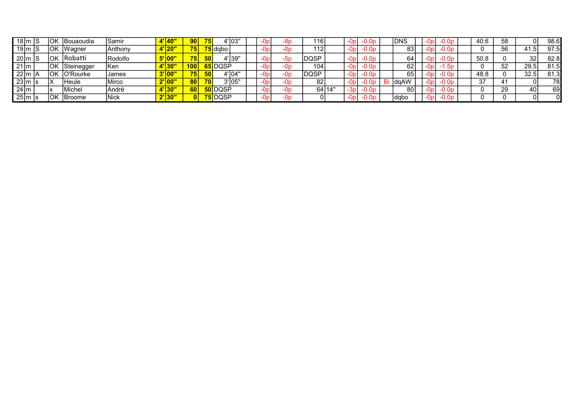| 18∣m  S              |           | lOk | IBouaoudia | ISamir  |       | 90              | 75 |                       | 4'l03'  |  |     | ำ6เ          |        |       | -0.0p   | <b>IDNS</b>  |      |  | 40.6    | 58 |      | 98.6 |
|----------------------|-----------|-----|------------|---------|-------|-----------------|----|-----------------------|---------|--|-----|--------------|--------|-------|---------|--------------|------|--|---------|----|------|------|
|                      | 19 $ m S$ | 'OK | IWaɑner    | Anthony | 120   | 75 <sub>h</sub> |    | ' <mark>5</mark> dabo |         |  |     | 112          |        | -Up   | $-0.0P$ | 83           |      |  |         | 56 | 41.5 | 97.5 |
| $20 \mid m \mid S$   |           | lok | Robatti    | Rodolfo |       |                 | 50 |                       | 4'139'  |  |     | <b>IDQSP</b> |        | -0p   | $-0.0p$ | 64           |      |  | 50.8    |    | 32   | 82.8 |
| $21 \text{ m}$       |           | lOK | Steinegger | IKen    |       | 100             |    | 65 IDQSP              |         |  |     | 104          |        | -0p   | $-0.0p$ | 62           | -0pl |  |         | 52 | 29.5 | 81.5 |
| $\frac{1}{22}$ m   A |           | lOk | O'Rourke   | James   |       | 75 <sub>h</sub> | 50 |                       | 4'l04"  |  |     | DQSP         |        | -0p   | $-0.0p$ | 65           |      |  | 48.8    |    | 32.5 | 81.3 |
| $ 23 $ m s           |           | ΙX  | Heule      | Mirco   | 1 V V | 80              | 70 |                       | 3'105'' |  |     | 82           |        |       |         | <b>IdaAW</b> |      |  | 37<br>ິ |    |      | 78   |
| $24 \text{ m}$       |           |     | Michel     | André   | טטו   | 60              |    | 50 IDOSF              |         |  | -On |              | 64 14' | -3r   | -0.0p   | 80l          | -0pl |  |         | 29 |      | 69   |
| $25 \mid m \mid s$   |           | lOK | IBroome    | Nick    | 10U   |                 |    | 75 DQSP               |         |  | -Op |              |        | $-0p$ | $-0.0D$ | Idabo        | -0pl |  |         |    |      |      |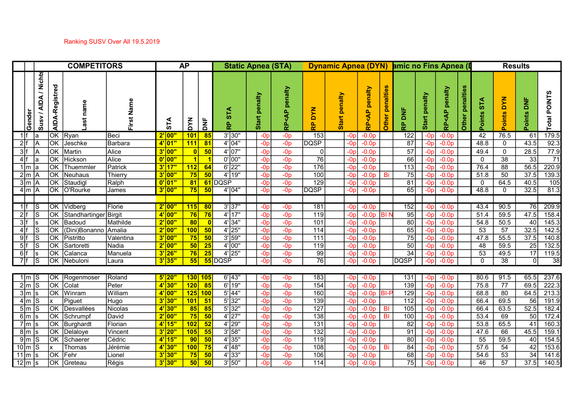|            |                                                  |                        | <b>COMPETITORS</b>    |               |          | <b>AP</b>        |                 |                        | <b>Static Apnea (STA)</b> |                                                                        |                                               | <b>Dynamic Apnea (DYN)</b> |                             |                        | amic no Fins Apnea (I |                  |                                            |                 |                  | <b>Results</b>  |                      |                      |  |
|------------|--------------------------------------------------|------------------------|-----------------------|---------------|----------|------------------|-----------------|------------------------|---------------------------|------------------------------------------------------------------------|-----------------------------------------------|----------------------------|-----------------------------|------------------------|-----------------------|------------------|--------------------------------------------|-----------------|------------------|-----------------|----------------------|----------------------|--|
|            | <b>Nichts</b><br>Susv / AIDA<br><b>Gender</b>    | AIDA-Registred         | name                  | Name<br>First | STA      | <b>NAG</b>       | $\overline{z}$  | <b>STA</b><br><u>ե</u> | penalty<br><b>Start</b>   | penalty<br><ap<br><math>\frac{\dot{\mathbf{p}}}{\alpha}</math></ap<br> | <b>DYN</b><br>$\frac{\mathsf{p}}{\mathsf{p}}$ | penalty<br>Start           | penalty<br><ap<br>훉</ap<br> | <b>Other penalties</b> | ă<br>운                | penalty<br>Start | penalty<br>$\frac{P}{\sqrt{2}}$<br>في<br>م | Other penalties | ST<br>S<br>oints | Points DYN      | $rac{1}{2}$<br>oints | ທ<br>POINT:<br>Total |  |
| 1 f        | la                                               | <b>JOK</b>             | Ryan                  | Beci          | 2' 00"   | 101              | 85              | $3'$ 30"               | $-Op$                     | $-0p$                                                                  | $\overline{153}$                              | -0r                        | $-0.0p$                     |                        | 122                   | $-0p$            | $-0.0p$                                    |                 | 42               | 76.5            | 61                   | 179.5                |  |
| 2 f        |                                                  | <b>JOK</b>             | Jeschke               | Barbara       | $4'$ 01" | 111              | $\overline{81}$ | $4'$ 04"               | $-0p$                     | $-0p$                                                                  | <b>DQSP</b>                                   | $-0r$                      | $-0.0p$                     |                        | 87                    | $-0D$            | $-0.0p$                                    |                 | 48.8             | $\mathbf 0$     | 43.5                 | 92.3                 |  |
| 3 f        |                                                  | OK                     | Martin                | Alice         | $3'$ 00" | $\overline{0}$   | 50              | $4'$ 07"               | $-Op$                     | $-0p$                                                                  | 0                                             | $-0r$                      | $-0.0p$                     |                        | 57                    |                  | $-0.0p$                                    |                 | 49.4             | $\mathbf 0$     | 28.5                 | 77.9                 |  |
| 4 f        |                                                  | <b>OK</b>              | Hickson               | Alice         | 0' 00"   | $\vert$ 1        |                 | $0'$ 00"               | $-Op$                     | $-0p$                                                                  | 76                                            | $-0r$                      | $-0.0p$                     |                        | 66                    | -0p              | $-0.0p$                                    |                 | 0                | $\overline{38}$ | 33                   | 71                   |  |
| $1 \mid m$ |                                                  | <b>JOK</b>             | Thuemmler             | Patrick       | $3'$ 17" | 112              | 64              | $6'$  22"              | $-Op$                     | $-0p$                                                                  | 176                                           | $-0r$                      | $-0.0p$                     |                        | 113                   | -0p              | $-0.0p$                                    |                 | 76.4             | 88              | 56.5                 | 220.9                |  |
|            | 2 m A                                            | $\overline{\text{OK}}$ | Neuhaus               | Thierry       | $3'$ 00" | 75               | 50              | $4'$ 19"               | $-Op$                     | $-0p$                                                                  | 100                                           | $-0p$                      | $-0.0p$                     | Bi                     | $\overline{75}$       | -0p              | $-0.0p$                                    |                 | 51.8             | 50              | 37.5                 | 139.3                |  |
|            | $3\overline{\mathrm{m}}$ $\overline{\mathrm{A}}$ | $\overline{\text{OK}}$ | Staudigl              | Ralph         | $0'$ 01" | $\overline{81}$  |                 | 61 DQSP                | $-Op$                     | $-0p$                                                                  | 129                                           | $-0p$                      | $-0.0p$                     |                        | 81                    | -0p              | $-0.0p$                                    |                 | 0                | 64.5            | 40.5                 | 105                  |  |
|            | $4 \mid m \mid A$                                | OK                     | O'Rourke              | James         | $3'$ 00" | 75               | 50              | $4'$ 04"               | $-Op$                     | $-0p$                                                                  | <b>DQSP</b>                                   | $-0p$                      | $-0.0p$                     |                        | 65                    | $-0p$            | $-0.0p$                                    |                 | 48.8             | 0               | 32.5                 | 81.3                 |  |
|            |                                                  |                        |                       |               |          |                  |                 |                        |                           |                                                                        |                                               |                            |                             |                        |                       |                  |                                            |                 |                  |                 |                      |                      |  |
| $1$ f      | IS                                               | <b>JOK</b>             | Vidberg               | Florie        | $2'$ 00" | 115              | 80              | $3'$ 37"               | $-Op$                     | $-0p$                                                                  | 181                                           | -0p                        | $-0.0p$                     |                        | 152                   | -0pl             | $-0.0p$                                    |                 | 43.4             | 90.5            | $\overline{76}$      | 209.9                |  |
| 2 f        | lS                                               | <sub>OK</sub>          | Standhartinger Birgit |               | $4'$ 00" | 76               | $\overline{76}$ | $4'$ 17"               | $-Op$                     | $-0p$                                                                  | 119                                           | $-0p$                      | $-0.0p$ BI                  |                        | 95                    | -0p              | $-0.0p$                                    |                 | 51.4             | 59.5            | 47.5                 | 158.4                |  |
| 3 f        |                                                  | <b>OK</b>              | Badoud                | Mathilde      | $2'$ 00" | 80               |                 | $4'$ 34"               | $-0p$                     | $-0p$                                                                  | 101                                           | -Or                        | $-0.0p$                     |                        | 08                    |                  | $-0.0p$                                    |                 | 54.8             | 50.5            | 40                   | 145.3                |  |
| 4 f        | IS                                               | <b>JOK</b>             | (Dini)Bonanno Amalia  |               | $2'$ 00" | 100              | 50              | $4'$ 25"               | $-Op$                     | $-0p$                                                                  | $\frac{114}{114}$                             | $-0r$                      | $-0.0p$                     |                        | 65                    | -Nn              | $-0.0p$                                    |                 | 53               | 57              | 32.5                 | 142.5                |  |
| 9 f        | IS                                               | <b>JOK</b>             | Pistritto             | Valentina     | $3'$ 00' | 75               | 50              | $3'$ 59"               | $-Op$                     | $-0p$                                                                  | $\overline{111}$                              | $-0r$                      | $-0.0p$                     |                        | $\overline{75}$       | -0n              | $-0.0p$                                    |                 | 47.8             | 55.5            | 37.5                 | 140.8                |  |
| 5 f        | IS                                               | $\overline{\text{OK}}$ | Sartoretti            | Nadia         | 2' 00"   | 50               | 25              | $4'$ 00"               | $-Op$                     | $-0p$                                                                  | 119                                           | $-0r$                      | $-0.0p$                     |                        | $\overline{50}$       | -0p              | $-0.0p$                                    |                 | 48               | 59.5            | $\overline{25}$      | 132.5                |  |
| 6 f        |                                                  | <b>JOK</b>             | Calanca               | Manuela       | $3'$ 26" | 76               | $\overline{25}$ | $4'$  25"              | $-0p$                     | $-0p$                                                                  | 99                                            | -0r                        | $-0.0p$                     |                        | 34                    | -0p              | $-0.0p$                                    |                 | 53               | 49.5            | $\overline{17}$      | 119.5                |  |
| 7 f        | ls                                               | lок                    | Nebuloni              | Laura         | $3'$ 35" | 55               |                 | 55 DQSP                | $-0p$                     | $-0p$                                                                  | 76                                            | -0p                        | $-0.0p$                     |                        | <b>DQSP</b>           | -0p              | $-0.0p$                                    |                 | $\Omega$         | 38              | 0                    | 38                   |  |
|            |                                                  |                        |                       |               |          |                  |                 |                        |                           |                                                                        |                                               |                            |                             |                        |                       |                  |                                            |                 |                  |                 |                      |                      |  |
|            | 1 $ m S$                                         | OK                     | Rogenmoser            | Roland        | $5'$ 20" | 130 105          |                 | $6'$ 43"               | $-0p$                     | $-0p$                                                                  | 183                                           | -0r                        | $-0.0p$                     |                        | 131                   |                  | $-0.0p$                                    |                 | 80.6             | 91.5            | 65.5                 | 237.6                |  |
|            | 2 m S                                            | $\overline{\text{OK}}$ | Colat                 | Peter         | $4'$ 30" | $\overline{120}$ | 85              | $6'$ 19"               | $-0p$                     | $-0p$                                                                  | $\overline{154}$                              | $-0p$                      | $-0.0p$                     |                        | 139                   | $-0p$            | $-0.0p$                                    |                 | 75.8             | $\overline{77}$ | 69.5                 | 222.3                |  |
|            | 3 m s                                            | 0K                     | Winram                | William       | 4' 00"   | 125              | 100             | $5'$ 44"               | $-Op$                     | $-0p$                                                                  | 160                                           | $-0p$                      | $-0.0p$ BI-I                |                        | 129                   | -0p              | $-0.0p$                                    |                 | 68.8             | 80              | 64.5                 | 213.3                |  |
|            | $4 \mid m \mid S$                                |                        | Piguet                | Hugo          | $3'$ 30" | 101              | $-51$           | $5'$ 32"               | $-Op$                     | $-0p$                                                                  | 139                                           | $-0p$                      | $-0.0p$                     |                        | 112                   | $-0p$            | $-0.0p$                                    |                 | 66.4             | 69.5            | 56                   | 191.9                |  |
| $5\vert m$ | ls                                               | <b>JOK</b>             | Desvallées            | Nicolas       | $4'$ 30" | 85               | 85              | $5'$ 32"               | $-Op$                     | $-0p$                                                                  | 127                                           | $-0r$                      | $-0.0p$                     | -BI                    | 105                   | -0p              | $-0.0p$                                    |                 | 66.4             | 63.5            | 52.5                 | 182.4                |  |
|            | $6\overline{\mathrm{m}}$ s                       | <b>J</b> OK            | Schrumpf              | David         | 2' 00"   | 75               | 50              | $4'$   27"             | $-Op$                     | $-0p$                                                                  | $\overline{138}$                              | $-0r$                      | $-0.0p$                     | B <sub>l</sub>         | 100                   | -0p              | $-0.0p$                                    |                 | 53.4             | 69              | 50                   | 172.4                |  |
|            | $7 \mid m \mid s$                                | <b>JOK</b>             | <b>Burghardt</b>      | Florian       | $4'$ 15" | 102              | $\overline{52}$ | $4'$  29"              | $-Op$                     | $-0p$                                                                  | $\overline{131}$                              | -0r                        | $-0.0p$                     |                        | 82                    | -0¤              | $-0.0p$                                    |                 | 53.8             | 65.5            | 41                   | 160.3                |  |
|            | $8 \mid m \mid s$                                | <b>OK</b>              | Delaloye              | Vincent       | $3'$ 20" | 105              | 55              | $3'$ 58"               | $-Op$                     | $-0p$                                                                  | 132                                           | $-0r$                      | $-0.0p$                     |                        | 91                    |                  | $-0.0p$                                    |                 | 47.6             | 66              | 45.5                 | 159.1                |  |
|            | $9\vert m \vert S$                               | Ток                    | Schaerer              | Cédric        | $4'$ 15" | $\overline{90}$  | $\overline{50}$ | 4'35''                 | $-Op$                     | $-0p$                                                                  | 119                                           | $-0r$                      | $-0.0p$                     |                        | $\overline{80}$       | $-0D$            | $-0.0p$                                    |                 | 55               | 59.5            | 40                   | 154.5                |  |
|            | $10 \mid m \mid S$                               |                        | Thomas                | Jérémie       | 4'30''   | 100              | $\overline{75}$ | $4'$ 48"               | $-Op$                     | $-0p$                                                                  | 108                                           | $-0r$                      | $-0.0p$                     | Bi                     | 84                    | -0p              | $-0.0p$                                    |                 | 57.6             | 54              | 42                   | 153.6                |  |
|            | $11 \overline{\text{m/s}}$                       | OK                     | Fehr                  | Lionel        | $3'$ 30" | 75               | 50              | 4'33''                 | $-Op$                     | $-0p$                                                                  | 106                                           | $-0p$                      | $-0.0p$                     |                        | 68                    | -0¤              | $-0.0p$                                    |                 | 54.6             | 53              | $\overline{34}$      | 141.6                |  |
|            | $12 \mid m \mid s$                               | OK                     | Greteau               | Régis         | $3'$ 30" | 50               | 50              | $3'$ 50"               | $-0p$                     | $-0p$                                                                  | 114                                           | -0p                        | $-0.0p$                     |                        | 75                    | -0p              | $-0.0p$                                    |                 | 46               | 57              | 37.5                 | 140.5                |  |
|            |                                                  |                        |                       |               |          |                  |                 |                        |                           |                                                                        |                                               |                            |                             |                        |                       |                  |                                            |                 |                  |                 |                      |                      |  |